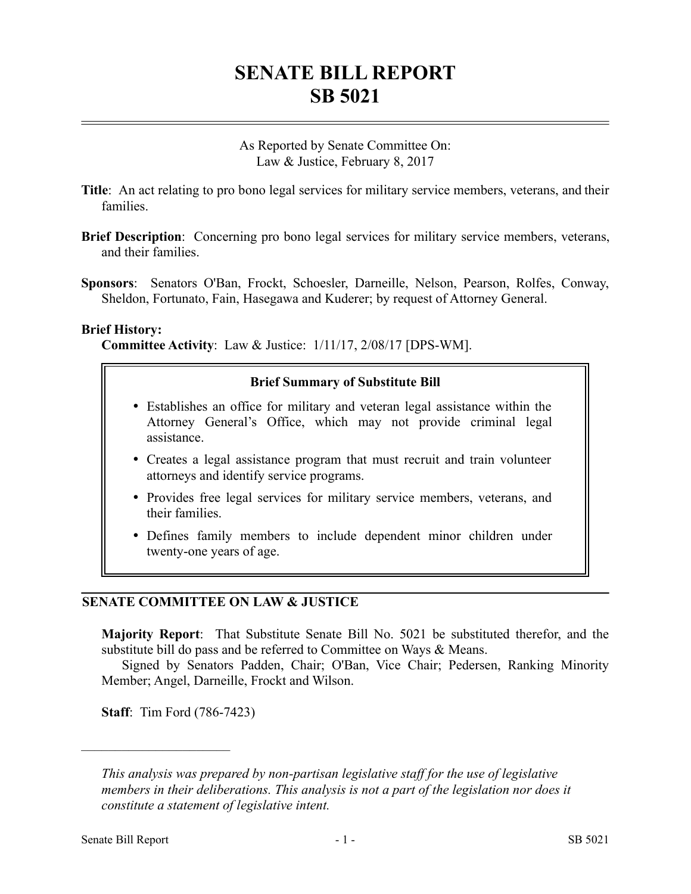# **SENATE BILL REPORT SB 5021**

As Reported by Senate Committee On: Law & Justice, February 8, 2017

- **Title**: An act relating to pro bono legal services for military service members, veterans, and their families.
- **Brief Description**: Concerning pro bono legal services for military service members, veterans, and their families.
- **Sponsors**: Senators O'Ban, Frockt, Schoesler, Darneille, Nelson, Pearson, Rolfes, Conway, Sheldon, Fortunato, Fain, Hasegawa and Kuderer; by request of Attorney General.

#### **Brief History:**

**Committee Activity**: Law & Justice: 1/11/17, 2/08/17 [DPS-WM].

#### **Brief Summary of Substitute Bill**

- Establishes an office for military and veteran legal assistance within the Attorney General's Office, which may not provide criminal legal assistance.
- Creates a legal assistance program that must recruit and train volunteer attorneys and identify service programs.
- Provides free legal services for military service members, veterans, and their families.
- Defines family members to include dependent minor children under twenty-one years of age.

### **SENATE COMMITTEE ON LAW & JUSTICE**

**Majority Report**: That Substitute Senate Bill No. 5021 be substituted therefor, and the substitute bill do pass and be referred to Committee on Ways & Means.

Signed by Senators Padden, Chair; O'Ban, Vice Chair; Pedersen, Ranking Minority Member; Angel, Darneille, Frockt and Wilson.

**Staff**: Tim Ford (786-7423)

––––––––––––––––––––––

*This analysis was prepared by non-partisan legislative staff for the use of legislative members in their deliberations. This analysis is not a part of the legislation nor does it constitute a statement of legislative intent.*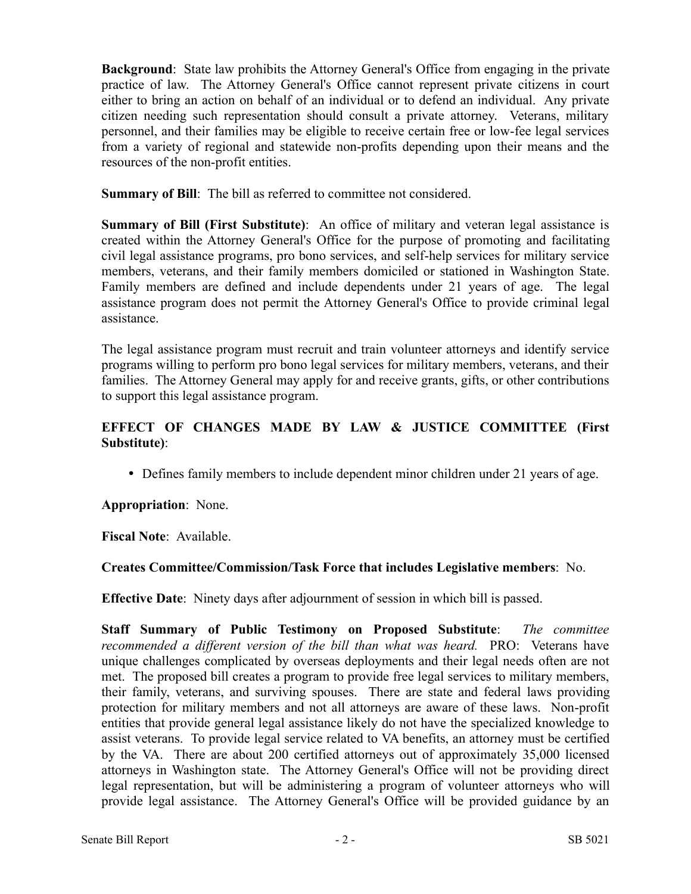**Background**: State law prohibits the Attorney General's Office from engaging in the private practice of law. The Attorney General's Office cannot represent private citizens in court either to bring an action on behalf of an individual or to defend an individual. Any private citizen needing such representation should consult a private attorney. Veterans, military personnel, and their families may be eligible to receive certain free or low-fee legal services from a variety of regional and statewide non-profits depending upon their means and the resources of the non-profit entities.

**Summary of Bill**: The bill as referred to committee not considered.

**Summary of Bill (First Substitute)**: An office of military and veteran legal assistance is created within the Attorney General's Office for the purpose of promoting and facilitating civil legal assistance programs, pro bono services, and self-help services for military service members, veterans, and their family members domiciled or stationed in Washington State. Family members are defined and include dependents under 21 years of age. The legal assistance program does not permit the Attorney General's Office to provide criminal legal assistance.

The legal assistance program must recruit and train volunteer attorneys and identify service programs willing to perform pro bono legal services for military members, veterans, and their families. The Attorney General may apply for and receive grants, gifts, or other contributions to support this legal assistance program.

## **EFFECT OF CHANGES MADE BY LAW & JUSTICE COMMITTEE (First Substitute)**:

Defines family members to include dependent minor children under 21 years of age.

### **Appropriation**: None.

**Fiscal Note**: Available.

### **Creates Committee/Commission/Task Force that includes Legislative members**: No.

**Effective Date**: Ninety days after adjournment of session in which bill is passed.

**Staff Summary of Public Testimony on Proposed Substitute**: *The committee recommended a different version of the bill than what was heard.* PRO: Veterans have unique challenges complicated by overseas deployments and their legal needs often are not met. The proposed bill creates a program to provide free legal services to military members, their family, veterans, and surviving spouses. There are state and federal laws providing protection for military members and not all attorneys are aware of these laws. Non-profit entities that provide general legal assistance likely do not have the specialized knowledge to assist veterans. To provide legal service related to VA benefits, an attorney must be certified by the VA. There are about 200 certified attorneys out of approximately 35,000 licensed attorneys in Washington state. The Attorney General's Office will not be providing direct legal representation, but will be administering a program of volunteer attorneys who will provide legal assistance. The Attorney General's Office will be provided guidance by an